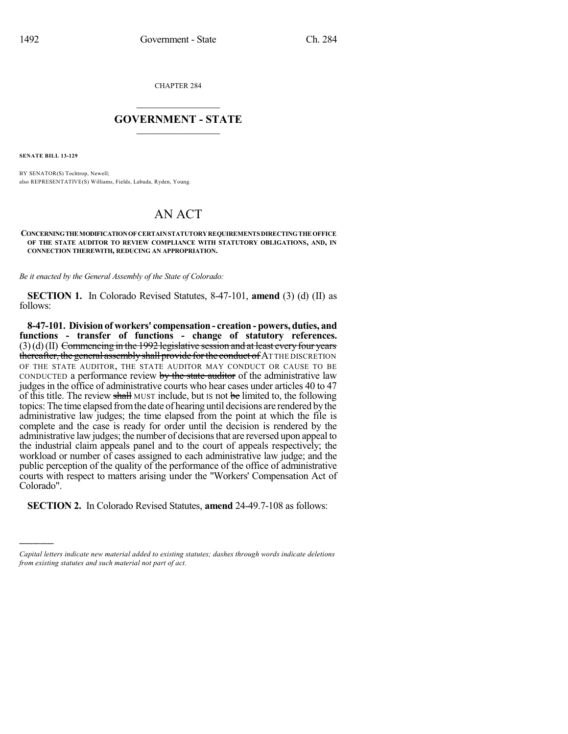CHAPTER 284

### $\mathcal{L}_\text{max}$  . The set of the set of the set of the set of the set of the set of the set of the set of the set of the set of the set of the set of the set of the set of the set of the set of the set of the set of the set **GOVERNMENT - STATE**  $\_$   $\_$   $\_$   $\_$   $\_$   $\_$   $\_$   $\_$   $\_$

**SENATE BILL 13-129**

)))))

BY SENATOR(S) Tochtrop, Newell; also REPRESENTATIVE(S) Williams, Fields, Labuda, Ryden, Young.

# AN ACT

#### **CONCERNINGTHEMODIFICATIONOF CERTAINSTATUTORYREQUIREMENTSDIRECTINGTHE OFFICE OF THE STATE AUDITOR TO REVIEW COMPLIANCE WITH STATUTORY OBLIGATIONS, AND, IN CONNECTION THEREWITH, REDUCING AN APPROPRIATION.**

*Be it enacted by the General Assembly of the State of Colorado:*

**SECTION 1.** In Colorado Revised Statutes, 8-47-101, **amend** (3) (d) (II) as follows:

**8-47-101. Division of workers' compensation - creation - powers, duties, and functions - transfer of functions - change of statutory references.**  $(3)(d)(II)$  Commencing in the 1992 legislative session and at least every four years thereafter, the general assembly shall provide for the conduct of AT THE DISCRETION OF THE STATE AUDITOR, THE STATE AUDITOR MAY CONDUCT OR CAUSE TO BE CONDUCTED a performance review by the state auditor of the administrative law judges in the office of administrative courts who hear cases under articles 40 to 47 of this title. The review shall MUST include, but IS not be limited to, the following topics: The time elapsed fromthe date of hearing until decisions are rendered by the administrative law judges; the time elapsed from the point at which the file is complete and the case is ready for order until the decision is rendered by the administrative law judges; the number of decisionsthat are reversed upon appeal to the industrial claim appeals panel and to the court of appeals respectively; the workload or number of cases assigned to each administrative law judge; and the public perception of the quality of the performance of the office of administrative courts with respect to matters arising under the "Workers' Compensation Act of Colorado".

**SECTION 2.** In Colorado Revised Statutes, **amend** 24-49.7-108 as follows:

*Capital letters indicate new material added to existing statutes; dashes through words indicate deletions from existing statutes and such material not part of act.*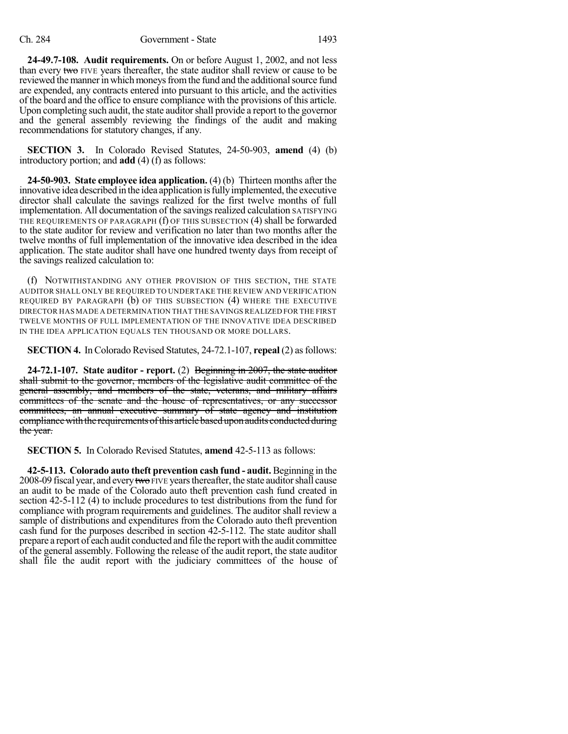**24-49.7-108. Audit requirements.** On or before August 1, 2002, and not less than every two FIVE years thereafter, the state auditor shall review or cause to be reviewed the manner in which moneys from the fund and the additional source fund are expended, any contracts entered into pursuant to this article, and the activities of the board and the office to ensure compliance with the provisions of this article. Upon completing such audit, the state auditor shall provide a report to the governor and the general assembly reviewing the findings of the audit and making recommendations for statutory changes, if any.

**SECTION 3.** In Colorado Revised Statutes, 24-50-903, **amend** (4) (b) introductory portion; and **add** (4) (f) as follows:

**24-50-903. State employee idea application.** (4) (b) Thirteen months after the innovative idea described in the idea application isfullyimplemented, the executive director shall calculate the savings realized for the first twelve months of full implementation. All documentation of the savings realized calculation SATISFYING THE REQUIREMENTS OF PARAGRAPH (f) OF THIS SUBSECTION (4) shall be forwarded to the state auditor for review and verification no later than two months after the twelve months of full implementation of the innovative idea described in the idea application. The state auditor shall have one hundred twenty days from receipt of the savings realized calculation to:

(f) NOTWITHSTANDING ANY OTHER PROVISION OF THIS SECTION, THE STATE AUDITOR SHALL ONLY BE REQUIRED TO UNDERTAKE THE REVIEW AND VERIFICATION REQUIRED BY PARAGRAPH (b) OF THIS SUBSECTION (4) WHERE THE EXECUTIVE DIRECTOR HAS MADE A DETERMINATION THAT THE SAVINGS REALIZED FOR THE FIRST TWELVE MONTHS OF FULL IMPLEMENTATION OF THE INNOVATIVE IDEA DESCRIBED IN THE IDEA APPLICATION EQUALS TEN THOUSAND OR MORE DOLLARS.

**SECTION 4.** InColorado Revised Statutes, 24-72.1-107, **repeal** (2) asfollows:

**24-72.1-107. State auditor - report.** (2) Beginning in 2007, the state auditor shall submit to the governor, members of the legislative audit committee of the general assembly, and members of the state, veterans, and military affairs committees of the senate and the house of representatives, or any successor committees, an annual executive summary of state agency and institution compliance with the requirements of this article based upon audits conducted during the year.

**SECTION 5.** In Colorado Revised Statutes, **amend** 42-5-113 as follows:

**42-5-113. Colorado auto theft prevention cash fund - audit.** Beginning in the 2008-09 fiscal year, and every two FIVE years thereafter, the state auditor shall cause an audit to be made of the Colorado auto theft prevention cash fund created in section 42-5-112 (4) to include procedures to test distributions from the fund for compliance with program requirements and guidelines. The auditor shall review a sample of distributions and expenditures from the Colorado auto theft prevention cash fund for the purposes described in section 42-5-112. The state auditor shall prepare a report of each audit conducted and file the report with the audit committee of the general assembly. Following the release of the audit report, the state auditor shall file the audit report with the judiciary committees of the house of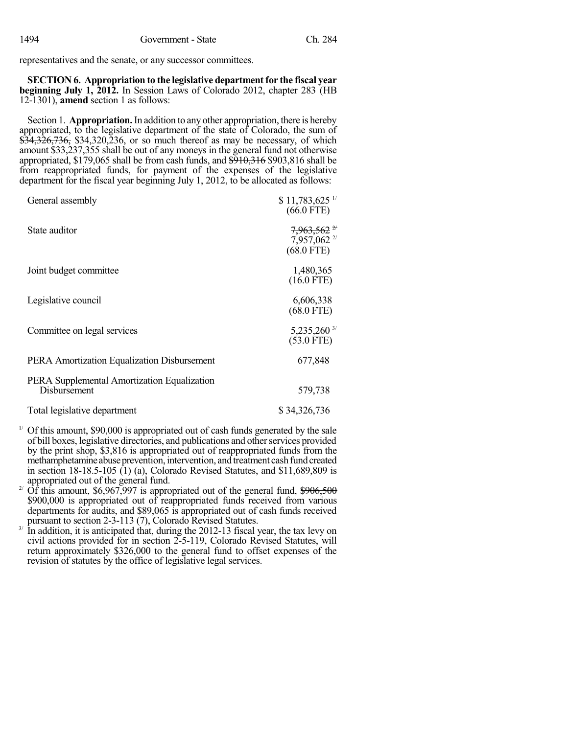representatives and the senate, or any successor committees.

**SECTION 6. Appropriation to the legislative departmentfor the fiscal year beginning July 1, 2012.** In Session Laws of Colorado 2012, chapter 283 (HB 12-1301), **amend** section 1 as follows:

Section 1. **Appropriation.**In addition to any other appropriation, there is hereby appropriated, to the legislative department of the state of Colorado, the sum of \$34,326,736, \$34,320,236, or so much thereof as may be necessary, of which amount \$33,237,355 shall be out of any moneys in the general fund not otherwise appropriated,  $$179,065$  shall be from cash funds, and  $$910,316$  \$903,816 shall be from reappropriated funds, for payment of the expenses of the legislative department for the fiscal year beginning July 1, 2012, to be allocated as follows:

| General assembly                                            | $$11,783,625$ <sup>1/</sup><br>$(66.0$ FTE)         |
|-------------------------------------------------------------|-----------------------------------------------------|
| State auditor                                               | $7,963,562$ $^{24}$<br>7,957,062 2/<br>$(68.0$ FTE) |
| Joint budget committee                                      | 1,480,365<br>$(16.0$ FTE)                           |
| Legislative council                                         | 6,606,338<br>$(68.0$ FTE)                           |
| Committee on legal services                                 | 5,235,260 3/<br>$(53.0$ FTE)                        |
| PERA Amortization Equalization Disbursement                 | 677,848                                             |
| PERA Supplemental Amortization Equalization<br>Disbursement | 579,738                                             |
| Total legislative department                                | \$34,326,736                                        |

 $1'$  Of this amount, \$90,000 is appropriated out of cash funds generated by the sale of bill boxes, legislative directories, and publications and other services provided by the print shop, \$3,816 is appropriated out of reappropriated funds from the methamphetamine abuse prevention, intervention, and treatment cash fund created in section 18-18.5-105 (1) (a), Colorado Revised Statutes, and \$11,689,809 is appropriated out of the general fund.

Of this amount, \$6,967,997 is appropriated out of the general fund, \$906,500 2/ \$900,000 is appropriated out of reappropriated funds received from various departments for audits, and \$89,065 is appropriated out of cash funds received pursuant to section 2-3-113 (7), Colorado Revised Statutes.

In addition, it is anticipated that, during the 2012-13 fiscal year, the tax levy on 3/ civil actions provided for in section 2-5-119, Colorado Revised Statutes, will return approximately \$326,000 to the general fund to offset expenses of the revision of statutes by the office of legislative legal services.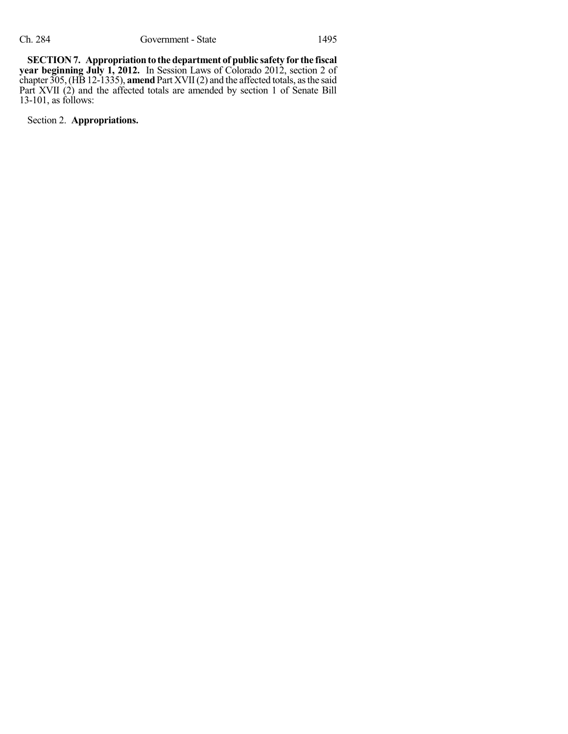**SECTION 7.** Appropriation to the department of public safety for the fiscal **year beginning July 1, 2012.** In Session Laws of Colorado 2012, section 2 of chapter 305,(HB12-1335), **amend**Part XVII(2) and the affected totals, asthe said Part XVII (2) and the affected totals are amended by section 1 of Senate Bill 13-101, as follows:

Section 2. **Appropriations.**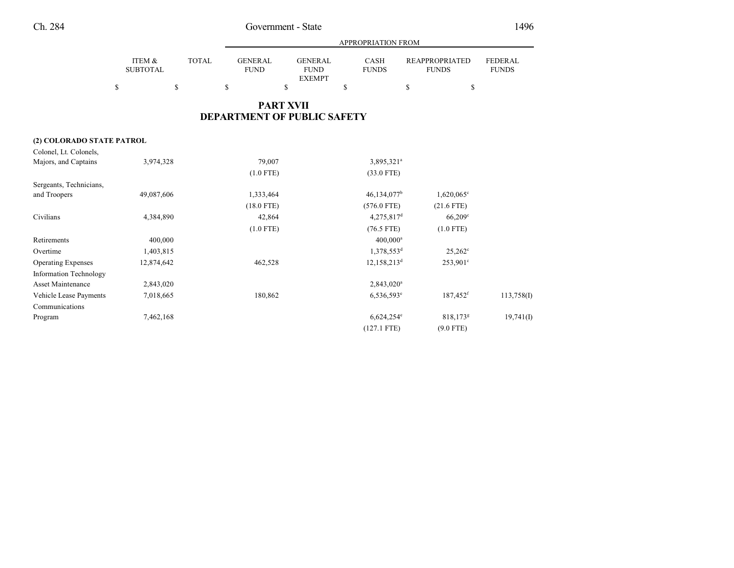## Ch. 284 Government - State

|  | × |
|--|---|
|--|---|

|                               |                           |              | <b>APPROPRIATION FROM</b>          |                                                |                             |                                       |                                |  |  |  |  |
|-------------------------------|---------------------------|--------------|------------------------------------|------------------------------------------------|-----------------------------|---------------------------------------|--------------------------------|--|--|--|--|
|                               | ITEM &<br><b>SUBTOTAL</b> | <b>TOTAL</b> | <b>GENERAL</b><br><b>FUND</b>      | <b>GENERAL</b><br><b>FUND</b><br><b>EXEMPT</b> | <b>CASH</b><br><b>FUNDS</b> | <b>REAPPROPRIATED</b><br><b>FUNDS</b> | <b>FEDERAL</b><br><b>FUNDS</b> |  |  |  |  |
|                               | \$                        | \$           | \$                                 | \$                                             | \$                          | $\mathbb{S}$<br>\$                    |                                |  |  |  |  |
|                               |                           |              | <b>DEPARTMENT OF PUBLIC SAFETY</b> | <b>PART XVII</b>                               |                             |                                       |                                |  |  |  |  |
| (2) COLORADO STATE PATROL     |                           |              |                                    |                                                |                             |                                       |                                |  |  |  |  |
| Colonel, Lt. Colonels,        |                           |              |                                    |                                                |                             |                                       |                                |  |  |  |  |
| Majors, and Captains          | 3,974,328                 |              | 79,007                             |                                                | 3,895,321 <sup>a</sup>      |                                       |                                |  |  |  |  |
|                               |                           |              | $(1.0$ FTE)                        |                                                | $(33.0$ FTE)                |                                       |                                |  |  |  |  |
| Sergeants, Technicians,       |                           |              |                                    |                                                |                             |                                       |                                |  |  |  |  |
| and Troopers                  | 49,087,606                |              | 1,333,464                          |                                                | $46,134,077$ <sup>b</sup>   | $1,620,065$ <sup>c</sup>              |                                |  |  |  |  |
|                               |                           |              | $(18.0$ FTE)                       |                                                | $(576.0$ FTE)               | $(21.6$ FTE)                          |                                |  |  |  |  |
| Civilians                     | 4,384,890                 |              | 42,864                             |                                                | $4,275,817$ <sup>d</sup>    | $66,209$ <sup>c</sup>                 |                                |  |  |  |  |
|                               |                           |              | $(1.0$ FTE)                        |                                                | $(76.5$ FTE)                | $(1.0$ FTE)                           |                                |  |  |  |  |
| Retirements                   | 400,000                   |              |                                    |                                                | 400,000 <sup>a</sup>        |                                       |                                |  |  |  |  |
| Overtime                      | 1,403,815                 |              |                                    |                                                | 1,378,553 <sup>d</sup>      | $25,262^{\circ}$                      |                                |  |  |  |  |
| <b>Operating Expenses</b>     | 12,874,642                |              | 462,528                            |                                                | 12,158,213 <sup>d</sup>     | $253,901^{\circ}$                     |                                |  |  |  |  |
| <b>Information Technology</b> |                           |              |                                    |                                                |                             |                                       |                                |  |  |  |  |
| <b>Asset Maintenance</b>      | 2,843,020                 |              |                                    |                                                | 2,843,020 <sup>a</sup>      |                                       |                                |  |  |  |  |
| Vehicle Lease Payments        | 7,018,665                 |              | 180,862                            |                                                | $6,536,593^{\circ}$         | 187,452 <sup>f</sup>                  | 113,758(I)                     |  |  |  |  |
| Communications                |                           |              |                                    |                                                |                             |                                       |                                |  |  |  |  |
| Program                       | 7,462,168                 |              |                                    |                                                | $6,624,254$ <sup>e</sup>    | 818,173 <sup>g</sup>                  | $19,741$ (I)                   |  |  |  |  |
|                               |                           |              |                                    |                                                | $(127.1$ FTE)               | $(9.0$ FTE)                           |                                |  |  |  |  |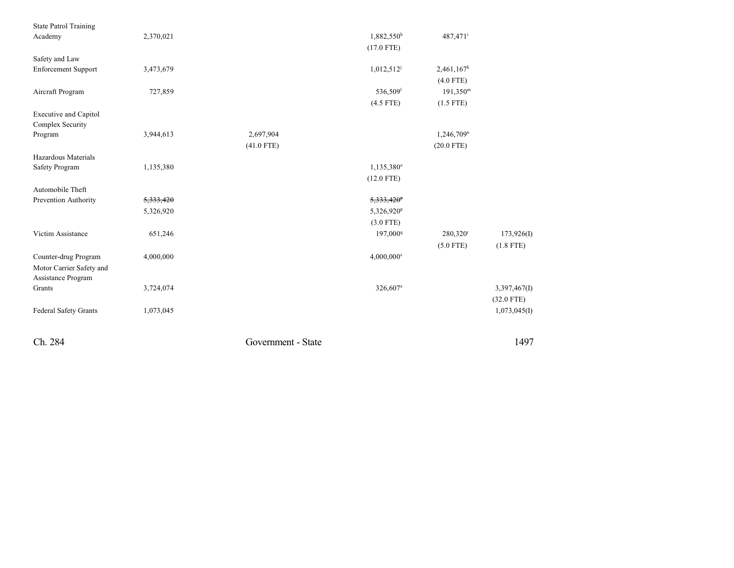| <b>State Patrol Training</b> |                      |                    |                          |                        |              |
|------------------------------|----------------------|--------------------|--------------------------|------------------------|--------------|
| Academy                      | 2,370,021            |                    | $1,882,550$ <sup>h</sup> | 487,471 <sup>i</sup>   |              |
|                              |                      |                    | $(17.0$ FTE)             |                        |              |
| Safety and Law               |                      |                    |                          |                        |              |
| <b>Enforcement Support</b>   | 3,473,679            |                    | $1,012,512^j$            | 2,461,167 <sup>k</sup> |              |
|                              |                      |                    |                          | $(4.0$ FTE)            |              |
| Aircraft Program             | 727,859              |                    | 536,509                  | $191,350^{\rm m}$      |              |
|                              |                      |                    | $(4.5$ FTE)              | $(1.5$ FTE)            |              |
| <b>Executive and Capitol</b> |                      |                    |                          |                        |              |
| Complex Security             |                      |                    |                          |                        |              |
| Program                      | 3,944,613            | 2,697,904          |                          | 1,246,709 <sup>n</sup> |              |
|                              |                      | $(41.0$ FTE)       |                          | $(20.0$ FTE)           |              |
| Hazardous Materials          |                      |                    |                          |                        |              |
| <b>Safety Program</b>        | 1,135,380            |                    | 1,135,380°               |                        |              |
|                              |                      |                    | $(12.0$ FTE)             |                        |              |
| Automobile Theft             |                      |                    |                          |                        |              |
| Prevention Authority         | <del>5,333,420</del> |                    | 5,333,420 <sup>p</sup>   |                        |              |
|                              | 5,326,920            |                    | 5,326,920 <sup>p</sup>   |                        |              |
|                              |                      |                    | $(3.0$ FTE)              |                        |              |
| Victim Assistance            | 651,246              |                    | 197,000 <sup>q</sup>     | $280,320$ <sup>r</sup> | 173,926(I)   |
|                              |                      |                    |                          | $(5.0$ FTE)            | $(1.8$ FTE)  |
| Counter-drug Program         | 4,000,000            |                    | 4,000,000s               |                        |              |
| Motor Carrier Safety and     |                      |                    |                          |                        |              |
| Assistance Program           |                      |                    |                          |                        |              |
| Grants                       | 3,724,074            |                    | 326,607 <sup>a</sup>     |                        | 3,397,467(I) |
|                              |                      |                    |                          |                        | $(32.0$ FTE) |
| <b>Federal Safety Grants</b> | 1,073,045            |                    |                          |                        | 1,073,045(I) |
| Ch. 284                      |                      | Government - State |                          |                        | 1497         |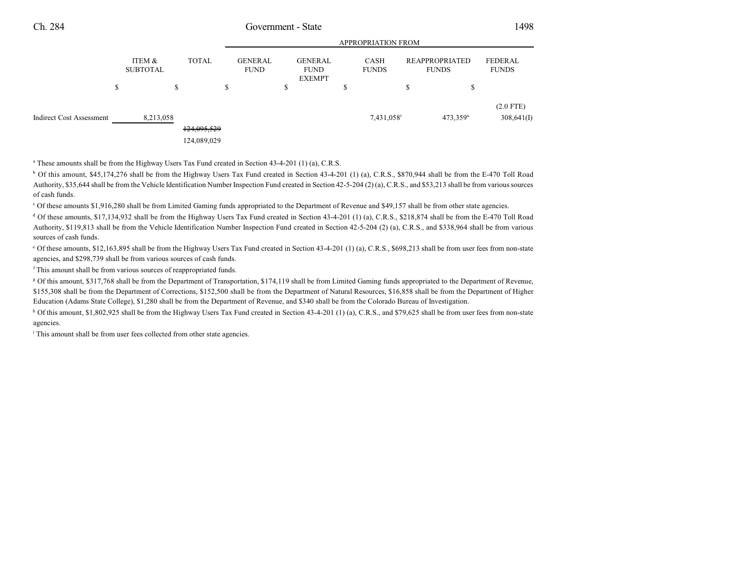### Ch. 284 Government - State 1498

|                          |        |                           |                            |        | <b>APPROPRIATION FROM</b>     |    |                                                |   |                        |                                |                        |                           |  |
|--------------------------|--------|---------------------------|----------------------------|--------|-------------------------------|----|------------------------------------------------|---|------------------------|--------------------------------|------------------------|---------------------------|--|
|                          |        | ITEM &<br><b>SUBTOTAL</b> | <b>TOTAL</b>               |        | <b>GENERAL</b><br><b>FUND</b> |    | <b>GENERAL</b><br><b>FUND</b><br><b>EXEMPT</b> |   | CASH<br><b>FUNDS</b>   | REAPPROPRIATED<br><b>FUNDS</b> |                        | FEDERAL<br><b>FUNDS</b>   |  |
|                          | ¢<br>Φ |                           | \$                         | ¢<br>Ф |                               | \$ |                                                | Ф |                        | \$                             | \$                     |                           |  |
| Indirect Cost Assessment |        | 8,213,058                 | 124,095,529<br>124,089,029 |        |                               |    |                                                |   | 7,431,058 <sup>t</sup> |                                | $473.359$ <sup>u</sup> | $(2.0$ FTE)<br>308,641(I) |  |

<sup>a</sup> These amounts shall be from the Highway Users Tax Fund created in Section 43-4-201 (1) (a), C.R.S.

<sup>b</sup> Of this amount, \$45,174,276 shall be from the Highway Users Tax Fund created in Section 43-4-201 (1) (a), C.R.S., \$870,944 shall be from the E-470 Toll Road Authority, \$35,644 shall be from the Vehicle Identification Number Inspection Fund created in Section 42-5-204 (2) (a), C.R.S., and \$53,213 shall be from various sources of cash funds.

Of these amounts \$1,916,280 shall be from Limited Gaming funds appropriated to the Department of Revenue and \$49,157 shall be from other state agencies. <sup>c</sup>

<sup>d</sup> Of these amounts, \$17,134,932 shall be from the Highway Users Tax Fund created in Section 43-4-201 (1) (a), C.R.S., \$218,874 shall be from the E-470 Toll Road Authority, \$119,813 shall be from the Vehicle Identification Number Inspection Fund created in Section 42-5-204 (2) (a), C.R.S., and \$338,964 shall be from various sources of cash funds.

 Of these amounts, \$12,163,895 shall be from the Highway Users Tax Fund created in Section 43-4-201 (1) (a), C.R.S., \$698,213 shall be from user fees from non-state <sup>e</sup> agencies, and \$298,739 shall be from various sources of cash funds.

<sup>f</sup> This amount shall be from various sources of reappropriated funds.

<sup>g</sup> Of this amount, \$317,768 shall be from the Department of Transportation, \$174,119 shall be from Limited Gaming funds appropriated to the Department of Revenue, \$155,308 shall be from the Department of Corrections, \$152,500 shall be from the Department of Natural Resources, \$16,858 shall be from the Department of Higher Education (Adams State College), \$1,280 shall be from the Department of Revenue, and \$340 shall be from the Colorado Bureau of Investigation.

 $h$  Of this amount, \$1,802,925 shall be from the Highway Users Tax Fund created in Section 43-4-201 (1) (a), C.R.S., and \$79,625 shall be from user fees from non-state agencies.

<sup>i</sup> This amount shall be from user fees collected from other state agencies.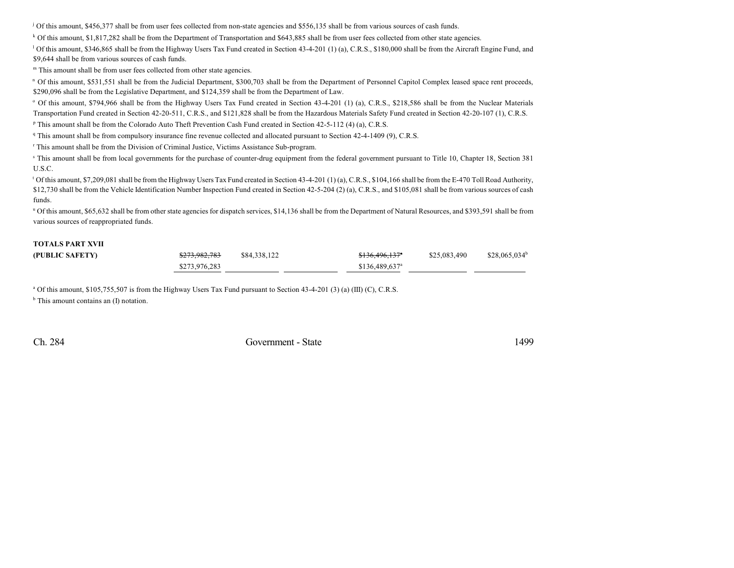<sup>j</sup> Of this amount, \$456,377 shall be from user fees collected from non-state agencies and \$556,135 shall be from various sources of cash funds.

<sup>k</sup> Of this amount, \$1,817,282 shall be from the Department of Transportation and \$643,885 shall be from user fees collected from other state agencies.

<sup>1</sup> Of this amount, \$346,865 shall be from the Highway Users Tax Fund created in Section 43-4-201 (1) (a), C.R.S., \$180,000 shall be from the Aircraft Engine Fund, and \$9,644 shall be from various sources of cash funds.

 $<sup>m</sup>$  This amount shall be from user fees collected from other state agencies.</sup>

<sup>n</sup> Of this amount, \$531,551 shall be from the Judicial Department, \$300,703 shall be from the Department of Personnel Capitol Complex leased space rent proceeds, \$290,096 shall be from the Legislative Department, and \$124,359 shall be from the Department of Law.

<sup>o</sup> Of this amount, \$794,966 shall be from the Highway Users Tax Fund created in Section 43-4-201 (1) (a), C.R.S., \$218,586 shall be from the Nuclear Materials Transportation Fund created in Section 42-20-511, C.R.S., and \$121,828 shall be from the Hazardous Materials Safety Fund created in Section 42-20-107 (1), C.R.S.

<sup>p</sup> This amount shall be from the Colorado Auto Theft Prevention Cash Fund created in Section 42-5-112 (4) (a), C.R.S.

This amount shall be from compulsory insurance fine revenue collected and allocated pursuant to Section 42-4-1409 (9), C.R.S. <sup>q</sup>

<sup>r</sup> This amount shall be from the Division of Criminal Justice, Victims Assistance Sub-program.

<sup>s</sup> This amount shall be from local governments for the purchase of counter-drug equipment from the federal government pursuant to Title 10, Chapter 18, Section 381 U.S.C.

<sup>t</sup> Of this amount, \$7,209,081 shall be from the Highway Users Tax Fund created in Section 43-4-201 (1) (a), C.R.S., \$104,166 shall be from the E-470 Toll Road Authority, \$12,730 shall be from the Vehicle Identification Number Inspection Fund created in Section 42-5-204 (2) (a), C.R.S., and \$105,081 shall be from various sources of cash funds.

<sup>u</sup> Of this amount, \$65,632 shall be from other state agencies for dispatch services, \$14,136 shall be from the Department of Natural Resources, and \$393,591 shall be from various sources of reappropriated funds.

#### **TOTALS PART XVII**

| (PUBLIC SAFETY) | <del>\$273,982,783</del> | \$84,338,122 | \$136,496,137 <sup>a</sup>  | \$25,083,490 | $$28,065,034^b$ |
|-----------------|--------------------------|--------------|-----------------------------|--------------|-----------------|
|                 | \$273,976,283            |              | $$136.489.637$ <sup>a</sup> |              |                 |

 $\alpha$  Of this amount, \$105,755,507 is from the Highway Users Tax Fund pursuant to Section 43-4-201 (3) (a) (III) (C), C.R.S.

<sup>b</sup> This amount contains an (I) notation.

Ch. 284 Government - State 1499